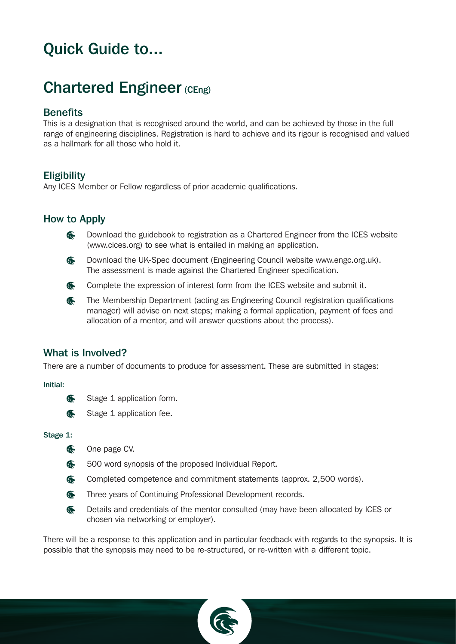# Quick Guide to...

# Chartered Engineer (CEng)

# **Benefits**

This is a designation that is recognised around the world, and can be achieved by those in the full range of engineering disciplines. Registration is hard to achieve and its rigour is recognised and valued as a hallmark for all those who hold it.

# **Eligibility**

Any ICES Member or Fellow regardless of prior academic qualifications.

# How to Apply

- G Download the guidebook to registration as a Chartered Engineer from the ICES website ([www.cices.org\)](http://www.cices.org) to see what is entailed in making an application.
- **G** Download the UK-Spec document (Engineering Council website [www.engc.org.uk\).](http://www.engc.org.uk) The assessment is made against the Chartered Engineer specification.
- a. Complete the expression of interest form from the ICES website and submit it.
- **G** The Membership Department (acting as Engineering Council registration qualifications manager) will advise on next steps; making a formal application, payment of fees and allocation of a mentor, and will answer questions about the process).

# What is Involved?

There are a number of documents to produce for assessment. These are submitted in stages:

## Initial:

- **G** Stage 1 application form.
- E Stage 1 application fee.

## Stage 1:



- **C** 500 word synopsis of the proposed Individual Report.
- G Completed competence and commitment statements (approx. 2,500 words).
- Three years of Continuing Professional Development records.
- € Details and credentials of the mentor consulted (may have been allocated by ICES or chosen via networking or employer).

There will be a response to this application and in particular feedback with regards to the synopsis. It is possible that the synopsis may need to be re-structured, or re-written with a different topic.